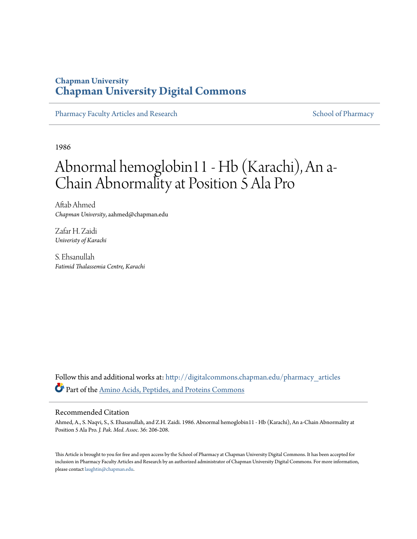## **Chapman University [Chapman University Digital Commons](http://digitalcommons.chapman.edu?utm_source=digitalcommons.chapman.edu%2Fpharmacy_articles%2F242&utm_medium=PDF&utm_campaign=PDFCoverPages)**

[Pharmacy Faculty Articles and Research](http://digitalcommons.chapman.edu/pharmacy_articles?utm_source=digitalcommons.chapman.edu%2Fpharmacy_articles%2F242&utm_medium=PDF&utm_campaign=PDFCoverPages) [School of Pharmacy](http://digitalcommons.chapman.edu/cusp?utm_source=digitalcommons.chapman.edu%2Fpharmacy_articles%2F242&utm_medium=PDF&utm_campaign=PDFCoverPages)

1986

# Abnormal hemoglobin11 - Hb (Karachi), An a-Chain Abnormality at Position 5 Ala Pro

Aftab Ahmed *Chapman University*, aahmed@chapman.edu

Zafar H. Zaidi *Univeristy of Karachi*

S. Ehsanullah *Fatimid Thalassemia Centre, Karachi*

Follow this and additional works at: [http://digitalcommons.chapman.edu/pharmacy\\_articles](http://digitalcommons.chapman.edu/pharmacy_articles?utm_source=digitalcommons.chapman.edu%2Fpharmacy_articles%2F242&utm_medium=PDF&utm_campaign=PDFCoverPages) Part of the [Amino Acids, Peptides, and Proteins Commons](http://network.bepress.com/hgg/discipline/954?utm_source=digitalcommons.chapman.edu%2Fpharmacy_articles%2F242&utm_medium=PDF&utm_campaign=PDFCoverPages)

#### Recommended Citation

Ahmed, A., S. Naqvi, S., S. Ehasanullah, and Z.H. Zaidi. 1986. Abnormal hemoglobin11 - Hb (Karachi), An a-Chain Abnormality at Position 5 Ala Pro. *J. Pak. Med. Assoc.* 36: 206-208.

This Article is brought to you for free and open access by the School of Pharmacy at Chapman University Digital Commons. It has been accepted for inclusion in Pharmacy Faculty Articles and Research by an authorized administrator of Chapman University Digital Commons. For more information, please contact [laughtin@chapman.edu.](mailto:laughtin@chapman.edu)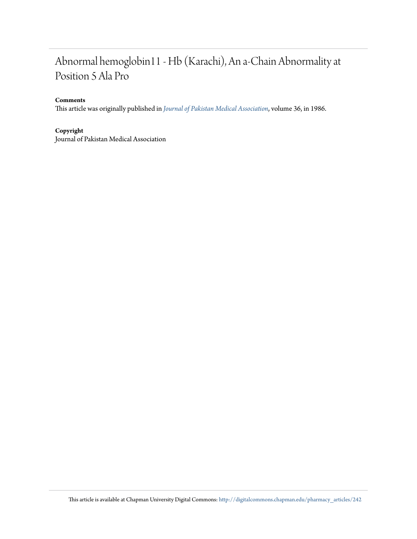## Abnormal hemoglobin11 - Hb (Karachi), An a-Chain Abnormality at Position 5 Ala Pro

#### **Comments**

This article was originally published in *[Journal of Pakistan Medical Association](http://jpma.org.pk/full_article_text.php?article_id=6069)*, volume 36, in 1986.

#### **Copyright**

Journal of Pakistan Medical Association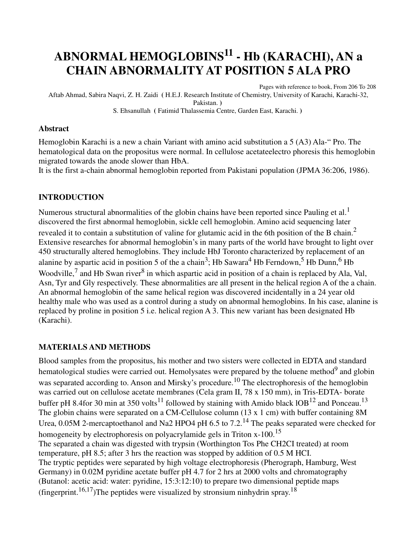# **ABNORMAL HEMOGLOBINS11 - Hb (KARACHI), AN a CHAIN ABNORMALITY AT POSITION 5 ALA PRO**

Pages with reference to book, From 206 To 208 Aftab Ahmad, Sabira Naqvi, Z. H. Zaidi **(** H.E.J. Research Institute of Chemistry, University of Karachi, Karachi-32, Pakistan. **)**  S. Ehsanullah **(** Fatimid Thalassemia Centre, Garden East, Karachi. **)** 

#### **Abstract**

Hemoglobin Karachi is a new a chain Variant with amino acid substitution a 5 (A3) Ala-" Pro. The hematological data on the propositus were normal. In cellulose acetateelectro phoresis this hemoglobin migrated towards the anode slower than HbA.

It is the first a-chain abnormal hemoglobin reported from Pakistani population (JPMA 36:206, 1986).

#### **INTRODUCTION**

Numerous structural abnormalities of the globin chains have been reported since Pauling et al.<sup>1</sup> discovered the first abnormal hemoglobin, sickle cell hemoglobin. Amino acid sequencing later revealed it to contain a substitution of valine for glutamic acid in the 6th position of the B chain.<sup>2</sup> Extensive researches for abnormal hemoglobin's in many parts of the world have brought to light over 450 structurally altered hemoglobins. They include HbJ Toronto characterized by replacement of an alanine by aspartic acid in position 5 of the a chain<sup>3</sup>; Hb Sawara<sup>4</sup> Hb Ferndown,<sup>5</sup> Hb Dunn,<sup>6</sup> Hb Woodville,<sup>7</sup> and Hb Swan river<sup>8</sup> in which aspartic acid in position of a chain is replaced by Ala, Val, Asn, Tyr and Gly respectively. These abnormalities are all present in the helical region A of the a chain. An abnormal hemoglobin of the same helical region was discovered incidentally in a 24 year old healthy male who was used as a control during a study on abnormal hemoglobins. In his case, alanine is replaced by proline in position 5 i.e. helical region A 3. This new variant has been designated Hb (Karachi).

#### **MATERIALS AND METHODS**

Blood samples from the propositus, his mother and two sisters were collected in EDTA and standard hematological studies were carried out. Hemolysates were prepared by the toluene method<sup>9</sup> and globin was separated according to. Anson and Mirsky's procedure.<sup>10</sup> The electrophoresis of the hemoglobin was carried out on cellulose acetate membranes (Cela gram II, 78 x 150 mm), in Tris-EDTA- borate buffer pH 8.4for 30 min at 350 volts<sup>11</sup> followed by staining with Amido black  $10B^{12}$  and Ponceau.<sup>13</sup> The globin chains were separated on a CM-Cellulose column (13 x 1 cm) with buffer containing 8M Urea,  $0.05M$  2-mercaptoethanol and Na2 HPO4 pH 6.5 to 7.2.<sup>14</sup> The peaks separated were checked for homogeneity by electrophoresis on polyacrylamide gels in Triton x-100.<sup>15</sup> The separated a chain was digested with trypsin (Worthington Tos Phe CH2CI treated) at room temperature, pH 8.5; after 3 hrs the reaction was stopped by addition of 0.5 M HCI. The tryptic peptides were separated by high voltage electrophoresis (Pherograph, Hamburg, West Germany) in 0.02M pyridine acetate buffer pH 4.7 for 2 hrs at 2000 volts and chromatography (Butanol: acetic acid: water: pyridine, 15:3:12:10) to prepare two dimensional peptide maps (fingerprint.<sup>16,17</sup>)The peptides were visualized by stronsium ninhydrin spray.<sup>18</sup>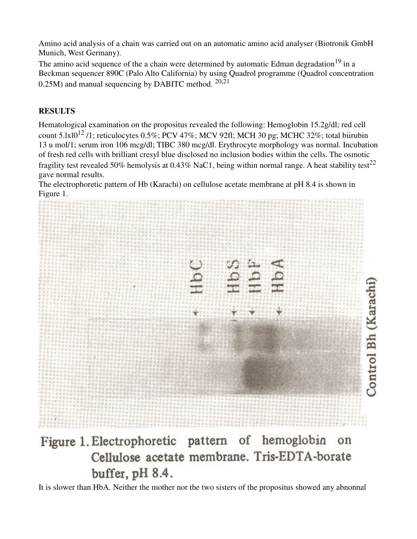Amino acid analysis of a chain was carried out on an automatic amino acid analyser (Biotronik GmbH Munich, West Germany).

The amino acid sequence of the a chain were determined by automatic Edman degradation<sup>19</sup> in a Beckman sequencer 890C (Palo Alto California) by using Quadrol programme (Quadrol concentration 0.25M) and manual sequencing by DABITC method.  $20,21$ 

### **RESULTS**

Hematological examination on the propositus revealed the following: Hemoglobin 15.2g/dl; red cell count  $5.1 \times 10^{12}$  /1; reticulocytes 0.5%; PCV 47%; MCV 92fl; MCH 30 pg; MCHC 32%; total biirubin 13 u mol/1; serum iron 106 mcg/dl; TIBC 380 mcg/dl. Erythrocyte morphology was normal. Incubation of fresh red cells with brilliant cresyl blue disclosed no inclusion bodies within the cells. The osmotic fragility test revealed 50% hemolysis at 0.43% NaC1, being within normal range. A heat stability test<sup>22</sup> gave normal results.

The electrophoretic pattern of Hb (Karachi) on cellulose acetate membrane at pH 8.4 is shown in Figure 1.



## Figure 1. Electrophoretic pattern of hemoglobin on Cellulose acetate membrane. Tris-EDTA-borate buffer, pH 8.4.

It is slower than HbA. Neither the mother nor the two sisters of the propositus showed any abnonnal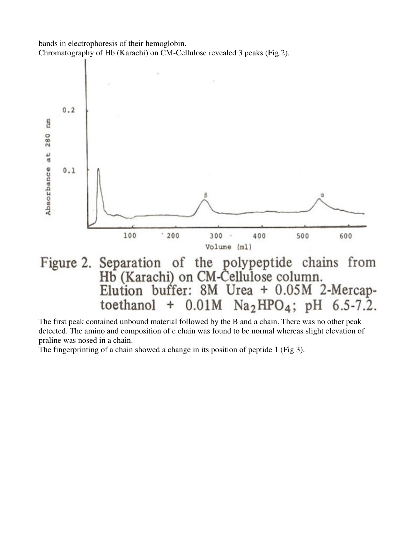



The first peak contained unbound material followed by the B and a chain. There was no other peak detected. The amino and composition of c chain was found to be normal whereas slight elevation of praline was nosed in a chain.

The fingerprinting of a chain showed a change in its position of peptide 1 (Fig 3).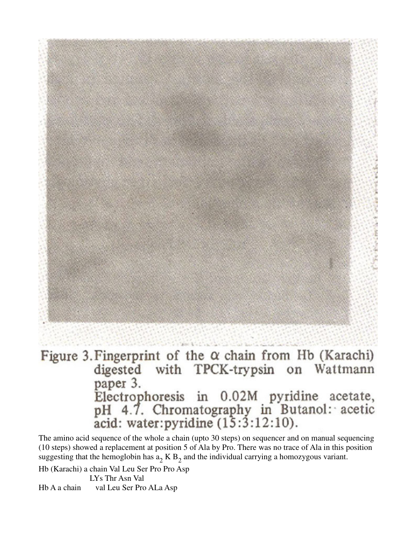# Figure 3. Fingerprint of the  $\alpha$  chain from Hb (Karachi) digested with TPCK-trypsin on Wattmann paper 3. Electrophoresis in 0.02M pyridine acetate,<br>pH 4.7. Chromatography in Butanol: acetic<br>acid: water:pyridine (15:3:12:10).

The amino acid sequence of the whole a chain (upto 30 steps) on sequencer and on manual sequencing (10 steps) showed a replacement at position 5 of Ala by Pro. There was no trace of Ala in this position suggesting that the hemoglobin has  $a_2$  K  $B_2$  and the individual carrying a homozygous variant.

Hb (Karachi) a chain Val Leu Ser Pro Pro Asp

 LYs Thr Asn Val Hb A a chain val Leu Ser Pro ALa Asp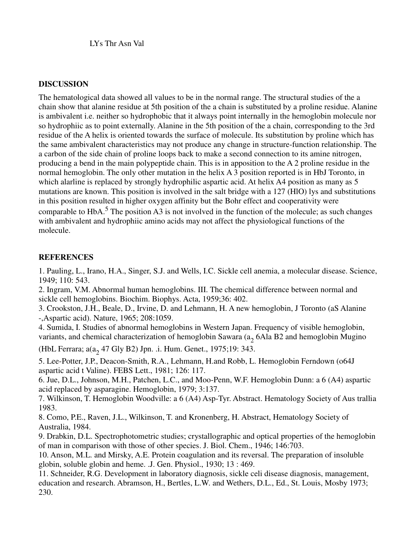LYs Thr Asn Val

#### **DISCUSSION**

The hematological data showed all values to be in the normal range. The structural studies of the a chain show that alanine residue at 5th position of the a chain is substituted by a proline residue. Alanine is ambivalent i.e. neither so hydrophobic that it always point internally in the hemoglobin molecule nor so hydrophiic as to point externally. Alanine in the 5th position of the a chain, corresponding to the 3rd residue of the A helix is oriented towards the surface of molecule. Its substitution by proline which has the same ambivalent characteristics may not produce any change in structure-function relationship. The a carbon of the side chain of proline loops back to make a second connection to its amine nitrogen, producing a bend in the main polypeptide chain. This is in apposition to the A 2 proline residue in the normal hemoglobin. The only other mutation in the helix A 3 position reported is in HbJ Toronto, in which alarline is replaced by strongly hydrophilic aspartic acid. At helix A4 position as many as 5 mutations are known. This position is involved in the salt bridge with a 127 (HlO) lys and substitutions in this position resulted in higher oxygen affinity but the Bohr effect and cooperativity were comparable to HbA.<sup>5</sup> The position A3 is not involved in the function of the molecule; as such changes with ambivalent and hydrophiic amino acids may not affect the physiological functions of the molecule.

#### **REFERENCES**

1. Pauling, L., Irano, H.A., Singer, S.J. and Wells, I.C. Sickle cell anemia, a molecular disease. Science, 1949; 110: 543.

2. Ingram, V.M. Abnormal human hemoglobins. III. The chemical difference between normal and sickle cell hemoglobins. Biochim. Biophys. Acta, 1959;36: 402.

3. Crookston, J.H., Beale, D., Irvine, D. and Lehmann, H. A new hemoglobin, J Toronto (aS Alanine -,Aspartic acid). Nature, 1965; 208:1059.

4. Sumida, I. Studies of abnormal hemoglobins in Western Japan. Frequency of visible hemoglobin, variants, and chemical characterization of hemoglobin Sawara ( $a_2$  6Ala B2 and hemoglobin Mugino

(HbL Ferrara;  $a(a_2 47 \text{ Gly B2})$  Jpn. .i. Hum. Genet., 1975;19: 343.

5. Lee-Potter, J.P., Deacon-Smith, R.A., Lehmann, H.and Robb, L. Hemoglobin Ferndown (o64J aspartic acid t Valine). FEBS Lett., 1981; 126: 117.

6. Jue, D.L., Johnson, M.H., Patchen, L.C., and Moo-Penn, W.F. Hemoglobin Dunn: a 6 (A4) aspartic acid replaced by asparagine. Hemoglobin, 1979; 3:137.

7. Wilkinson, T. Hemoglobin Woodville: a 6 (A4) Asp-Tyr. Abstract. Hematology Society of Aus trallia 1983.

8. Como, P.E., Raven, J.L., Wilkinson, T. and Kronenberg, H. Abstract, Hematology Society of Australia, 1984.

9. Drabkin, D.L. Spectrophotometric studies; crystallographic and optical properties of the hemoglobin of man in comparison with those of other species. J. Biol. Chem., 1946; 146:703.

10. Anson, M.L. and Mirsky, A.E. Protein coagulation and its reversal. The preparation of insoluble globin, soluble globin and heme. .J. Gen. Physiol., 1930; 13 : 469.

11. Schneider, R.G. Development in laboratory diagnosis, sickle celi disease diagnosis, management, education and research. Abramson, H., Bertles, L.W. and Wethers, D.L., Ed., St. Louis, Mosby 1973; 230.